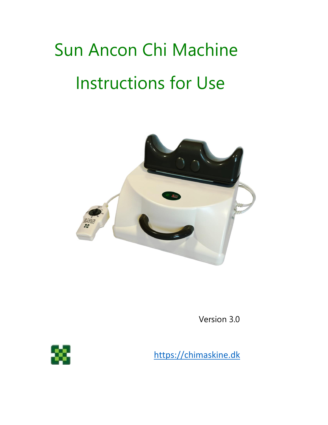# Sun Ancon Chi Machine Instructions for Use



Version 3.0



[https://chimaskine.dk](https://chimaskine.dk/)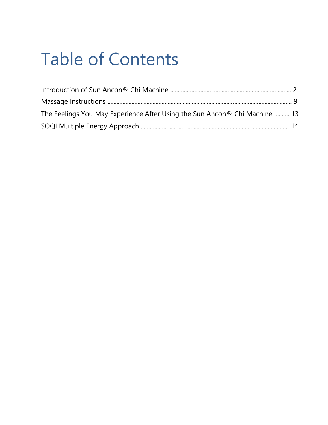# Table of Contents

| The Feelings You May Experience After Using the Sun Ancon® Chi Machine  13 |  |
|----------------------------------------------------------------------------|--|
|                                                                            |  |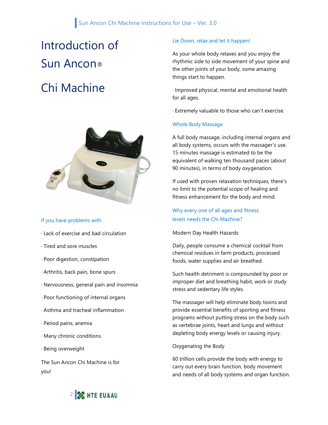# Introduction of Sun Ancon® Chi Machine



#### If you have problems with

- · Lack of exercise and bad circulation
- · Tired and sore muscles
- · Poor digestion, constipation
- · Arthritis, back pain, bone spurs
- · Nervousness, general pain and insomnia
- · Poor functioning of internal organs
- · Asthma and tracheal inflammation
- · Period pains, anemia
- · Many chronic conditions
- · Being overweight

The Sun Ancon Chi Machine is for you!

#### Lie Down, relax and let it happen!

As your whole body relaxes and you enjoy the rhythmic side to side movement of your spine and the other joints of your body, some amazing things start to happen.

· Improved physical, mental and emotional health for all ages.

· Extremely valuable to those who can't exercise.

#### Whole Body Massage

A full body massage, including internal organs and all body systems, occurs with the massager's use. 15 minutes massage is estimated to be the equivalent of walking ten thousand paces (about 90 minutes), in terms of body oxygenation.

If used with proven relaxation techniques, there's no limit to the potential scope of healing and fitness enhancement for the body and mind.

Why every one of all ages and fitness levels needs the Chi Machine?

Modern Day Health Hazards

Daily, people consume a chemical cocktail from chemical residues in farm products, processed foods, water supplies and air breathed.

Such health detriment is compounded by poor or improper diet and breathing habit, work or study stress and sedentary life styles.

The massager will help eliminate body toxins and provide essential benefits of sporting and fitness programs without putting stress on the body such as vertebrae joints, heart and lungs and without depleting body energy levels or causing injury.

Oxygenating the Body

60 trillion cells provide the body with energy to carry out every brain function, body movement and needs of all body systems and organ function.

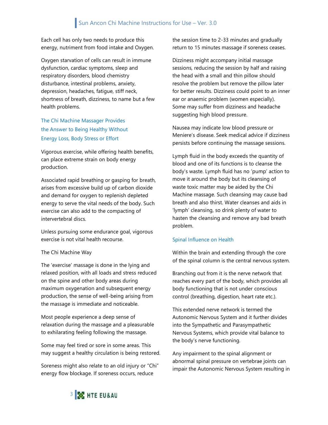Each cell has only two needs to produce this energy, nutriment from food intake and Oxygen.

Oxygen starvation of cells can result in immune dysfunction, cardiac symptoms, sleep and respiratory disorders, blood chemistry disturbance, intestinal problems, anxiety, depression, headaches, fatigue, stiff neck, shortness of breath, dizziness, to name but a few health problems.

#### The Chi Machine Massager Provides the Answer to Being Healthy Without Energy Loss, Body Stress or Effort

Vigorous exercise, while offering health benefits, can place extreme strain on body energy production.

Associated rapid breathing or gasping for breath, arises from excessive build up of carbon dioxide and demand for oxygen to replenish depleted energy to serve the vital needs of the body. Such exercise can also add to the compacting of intervertebral discs.

Unless pursuing some endurance goal, vigorous exercise is not vital health recourse.

#### The Chi Machine Way

The 'exercise' massage is done in the lying and relaxed position, with all loads and stress reduced on the spine and other body areas during maximum oxygenation and subsequent energy production, the sense of well-being arising from the massage is immediate and noticeable.

Most people experience a deep sense of relaxation during the massage and a pleasurable to exhilarating feeling following the massage.

Some may feel tired or sore in some areas. This may suggest a healthy circulation is being restored.

Soreness might also relate to an old injury or "Chi" energy flow blockage. If soreness occurs, reduce

the session time to 2-33 minutes and gradually return to 15 minutes massage if soreness ceases.

Dizziness might accompany initial massage sessions, reducing the session by half and raising the head with a small and thin pillow should resolve the problem but remove the pillow later for better results. Dizziness could point to an inner ear or anaemic problem (women especially). Some may suffer from dizziness and headache suggesting high blood pressure.

Nausea may indicate low blood pressure or Meniere's disease. Seek medical advice if dizziness persists before continuing the massage sessions.

Lymph fluid in the body exceeds the quantity of blood and one of its functions is to cleanse the body's waste. Lymph fluid has no 'pump' action to move it around the body but its cleansing of waste toxic matter may be aided by the Chi Machine massage. Such cleansing may cause bad breath and also thirst. Water cleanses and aids in 'lymph' cleansing, so drink plenty of water to hasten the cleansing and remove any bad breath problem.

#### Spinal Influence on Health

Within the brain and extending through the core of the spinal column is the central nervous system.

Branching out from it is the nerve network that reaches every part of the body, which provides all body functioning that is not under conscious control (breathing, digestion, heart rate etc.).

This extended nerve network is termed the Autonomic Nervous System and it further divides into the Sympathetic and Parasympathetic Nervous Systems, which provide vital balance to the body's nerve functioning.

Any impairment to the spinal alignment or abnormal spinal pressure on vertebrae joints can impair the Autonomic Nervous System resulting in

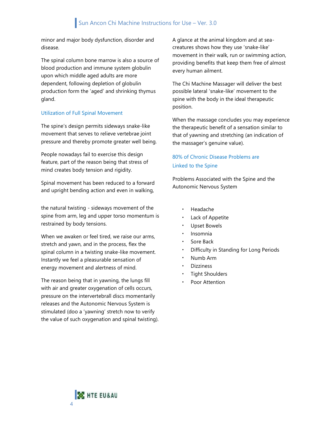minor and major body dysfunction, disorder and disease.

The spinal column bone marrow is also a source of blood production and immune system globulin upon which middle aged adults are more dependent, following depletion of globulin production form the 'aged' and shrinking thymus gland.

#### Utilization of Full Spinal Movement

The spine's design permits sideways snake-like movement that serves to relieve vertebrae joint pressure and thereby promote greater well being.

People nowadays fail to exercise this design feature, part of the reason being that stress of mind creates body tension and rigidity.

Spinal movement has been reduced to a forward and upright bending action and even in walking,

the natural twisting - sideways movement of the spine from arm, leg and upper torso momentum is restrained by body tensions.

When we awaken or feel tired, we raise our arms, stretch and yawn, and in the process, flex the spinal column in a twisting snake-like movement. Instantly we feel a pleasurable sensation of energy movement and alertness of mind.

The reason being that in yawning, the lungs fill with air and greater oxygenation of cells occurs, pressure on the intervertebrall discs momentarily releases and the Autonomic Nervous System is stimulated (doo a 'yawning' stretch now to verify the value of such oxygenation and spinal twisting). A glance at the animal kingdom and at seacreatures shows how they use 'snake-like' movement in their walk, run or swimming action, providing benefits that keep them free of almost every human ailment.

The Chi Machine Massager will deliver the best possible lateral 'snake-like' movement to the spine with the body in the ideal therapeutic position.

When the massage concludes you may experience the therapeutic benefit of a sensation similar to that of yawning and stretching (an indication of the massager's genuine value).

#### 80% of Chronic Disease Problems are Linked to the Spine

Problems Associated with the Spine and the Autonomic Nervous System

- Headache
- Lack of Appetite
- Upset Bowels
- Insomnia
- Sore Back
- Difficulty in Standing for Long Periods
- Numb Arm
- **Dizziness**
- Tight Shoulders
- Poor Attention

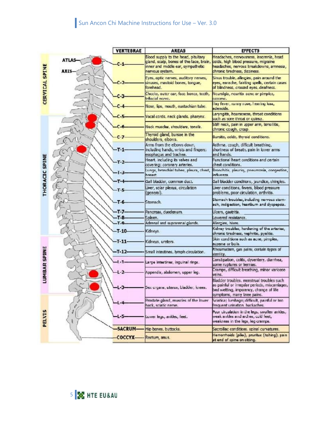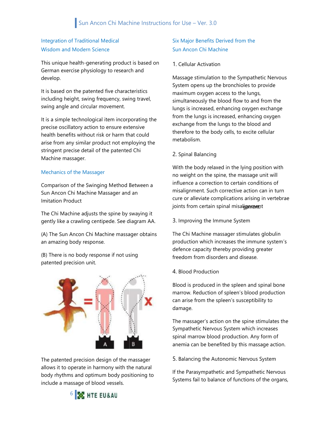#### Integration of Traditional Medical Wisdom and Modern Science

This unique health-generating product is based on German exercise physiology to research and develop.

It is based on the patented five characteristics including height, swing frequency, swing travel, swing angle and circular movement.

It is a simple technological item incorporating the precise oscillatory action to ensure extensive health benefits without risk or harm that could arise from any similar product not employing the stringent precise detail of the patented Chi Machine massager.

#### Mechanics of the Massager

Comparison of the Swinging Method Between a Sun Ancon Chi Machine Massager and an Imitation Product

The Chi Machine adjusts the spine by swaying it gently like a crawling centipede. See diagram AA.

(A) The Sun Ancon Chi Machine massager obtains an amazing body response.

(B) There is no body response if not using patented precision unit.



The patented precision design of the massager allows it to operate in harmony with the natural body rhythms and optimum body positioning to include a massage of blood vessels.

#### Six Major Benefits Derived from the Sun Ancon Chi Machine

#### 1. Cellular Activation

Massage stimulation to the Sympathetic Nervous System opens up the bronchioles to provide maximum oxygen access to the lungs, simultaneously the blood flow to and from the lungs is increased, enhancing oxygen exchange from the lungs is increased, enhancing oxygen exchange from the lungs to the blood and therefore to the body cells, to excite cellular metabolism.

#### 2. Spinal Balancing

joints from certain spinal misal<del>igmmen</del>t With the body relaxed in the lying position with no weight on the spine, the massage unit will influence a correction to certain conditions of misalignment. Such corrective action can in turn cure or alleviate complications arising in vertebrae

3. Improving the Immune System

The Chi Machine massager stimulates globulin production which increases the immune system's defence capacity thereby providing greater freedom from disorders and disease.

4. Blood Production

Blood is produced in the spleen and spinal bone marrow. Reduction of spleen's blood production can arise from the spleen's susceptibility to damage.

The massager's action on the spine stimulates the Sympathetic Nervous System which increases spinal marrow blood production. Any form of anemia can be benefited by this massage action.

5. Balancing the Autonomic Nervous System

If the Parasympathetic and Sympathetic Nervous Systems fail to balance of functions of the organs,

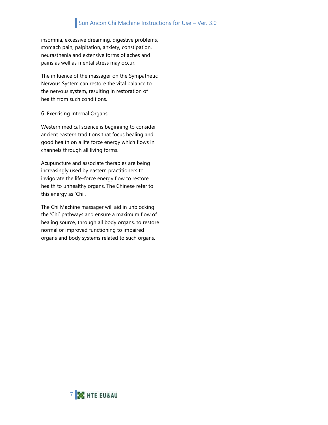#### Sun Ancon Chi Machine Instructions for Use – Ver. 3.0

insomnia, excessive dreaming, digestive problems, stomach pain, palpitation, anxiety, constipation, neurasthenia and extensive forms of aches and pains as well as mental stress may occur.

The influence of the massager on the Sympathetic Nervous System can restore the vital balance to the nervous system, resulting in restoration of health from such conditions.

#### 6. Exercising Internal Organs

Western medical science is beginning to consider ancient eastern traditions that focus healing and good health on a life force energy which flows in channels through all living forms.

Acupuncture and associate therapies are being increasingly used by eastern practitioners to invigorate the life-force energy flow to restore health to unhealthy organs. The Chinese refer to this energy as 'Chi'.

The Chi Machine massager will aid in unblocking the 'Chi' pathways and ensure a maximum flow of healing source, through all body organs, to restore normal or improved functioning to impaired organs and body systems related to such organs.

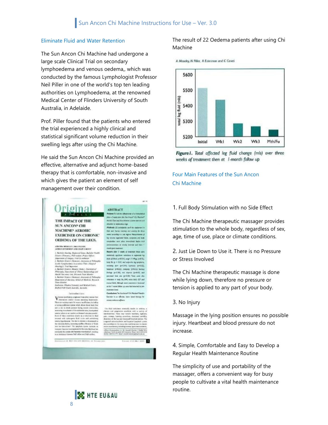#### Eliminate Fluid and Water Retention

The Sun Ancon Chi Machine had undergone a large scale Clinical Trial on secondary lymphoedema and venous oedema,, which was conducted by the famous Lymphologist Professor Neil Piller in one of the world's top ten leading authorities on Lymphoedema, at the renowned Medical Center of Flinders University of South Australia, in Adelaide.

Prof. Piller found that the patients who entered the trial experienced a highly clinical and statistical significant volume reduction in their swelling legs after using the Chi Machine.

He said the Sun Ancon Chi Machine provided an effective, alternative and adjunct home-based therapy that is comfortable, non-invasive and which gives the patient an element of self management over their condition.



rigina

.<br>ANGKA MENGLEY, NGC PILLON.<br>ANGKA MELIMAN ANG DELIK CABUT! Anthony Strategy May Country Countries (1987)<br>
2. Bachter Norwig, Neptunel Jose Auchele That &<br>
Store: (Fireway, Neptunel Jose Auchele That &<br>
2. Bachter Store: (Fireway, 1946)<br>
2. Bachter Store: (Fireway, 1946)<br>
2. Bachte Medit On came that Recent True Moder<br>4. Sathier Uracer (Memora), December of Philasoph<br>Department of Anciena, School of Medition, Recent<br>True Member Trans Messine<br>Justinism: Filsdon University and Medical Centre.<br>Acaford Post Scarls Awardla, Awardla.

#### terreduction

 $\label{eq:2} \begin{cases} \text{mass,} & \text{for } q \in \mathbb{N} \text{ and } \mathbb{N} \text{ and } \mathbb{N} \text{ and } \mathbb{N} \text{ and } \mathbb{N} \text{ are a finite space.} \\ \text{for instance, each set is a nonnegative sequence.} \\ \text{For example, each set is a nonnegative sequence, and each set is a nonnegative sequence.} \\ \text{For example, the set is a nonnegative sequence, and the set is a nonnegative sequence, and the set is a nonnegative sequence, and the set is a nonnegative sequence.} \\ \text{For example, the set is a nonnegative sequence, and the set is a nonnegative sequence, and the set is a nonnegative sequence, and the set is a nonnegative sequence, and the set is a nonnegative sequence$ mensily its color also because exceleboot, not<br>in an belieboot bower field offers and field outloo.

ABSTRACT repose to sum the effectiveness of a figure based they of equipment (the San Angust Cir. Museum) the Europe Library Administration on who a view .<br>Methoda 22 podabella and the apaprairs in went out over the fire weeks according as a set region. Measurement of conjunction now tobat investigate before and . . . **Assolts After 3 weeks of presiment there were** 

Auto (230mls pribiblis), weight (149kgs pribibly)<br>body Air (p. = 0.07) and subjective leg acoptains. sateing per pricipit system proces HORAL SARAS CORA MARIN finitual (p=0.90), cars, dramate candidity, and and then you growth the refundance on loops Ale, BME, which deads AD7 and Formal Bahb, Milliongh stove Jone at the 7 mont filler ut, next fiel environ to per

Constante The Source of Civil Hasser Service is an effective, have been thereor Arman mbos admin

.<br>Fold infuteen overady such is solar<br>en uni pogesoler condition with a verify<br>distribut. These may include basebase, type  $\label{eq:3} \begin{minipage}{0.9\textwidth} \begin{minipage}{0.9\textwidth} \begin{tabular}{l} \hline \textbf{0.0\textwidth} \begin{tabular}{l} \hline \textbf{0.0\textwidth} \begin{tabular}{l} \hline \textbf{0.0\textwidth} \begin{tabular}{l} \hline \textbf{0.0\textwidth} \begin{tabular}{l} \hline \textbf{0.0\textwidth} \begin{tabular}{l} \hline \textbf{0.0\textwidth} \begin{tabular}{l} \hline \textbf{0.0\textwidth} \begin{tabular}{l} \hline \textbf{0.0\textwidth} \begin{tabular}{l} \$ ... was the **Inchester** Selegarden in 30 deutsk Marke i Julié Stat<br>1. Ned Komfu XIII danske Maur vol (1854-19)<br>1. Ned IV

Young Fill and TOO ...

action of West-Abroard Britisher on the



#### The result of 22 Oedema patients after using Chi Machine

A Moseley, N Piller, A Esterman and C Canati



Figure I. Total affected leg fluid change (mls) over three weeks of treatment then at I-month follow up

Four Main Features of the Sun Ancon Chi Machine

#### 1. Full Body Stimulation with no Side Effect

The Chi Machine therapeutic massager provides stimulation to the whole body, regardless of sex, age, time of use, place or climate conditions.

2. Just Lie Down to Use it. There is no Pressure or Stress Involved

The Chi Machine therapeutic massage is done while lying down, therefore no pressure or tension is applied to any part of your body.

#### 3. No Injury

Massage in the lying position ensures no possible injury. Heartbeat and blood pressure do not increase.

4. Simple, Comfortable and Easy to Develop a Regular Health Maintenance Routine

The simplicity of use and portability of the massager, offers a convenient way for busy people to cultivate a vital health maintenance routine.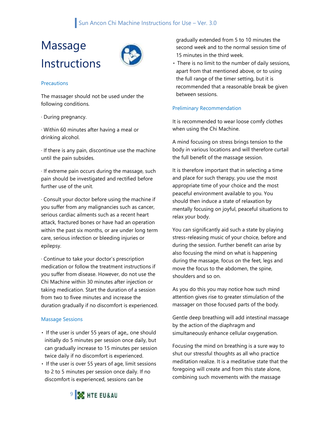#### Sun Ancon Chi Machine Instructions for Use – Ver. 3.0

# Massage **Instructions**



#### **Precautions**

The massager should not be used under the following conditions.

· During pregnancy.

· Within 60 minutes after having a meal or drinking alcohol.

· If there is any pain, discontinue use the machine until the pain subsides.

· If extreme pain occurs during the massage, such pain should be investigated and rectified before further use of the unit.

· Consult your doctor before using the machine if you suffer from any malignancies such as cancer, serious cardiac ailments such as a recent heart attack, fractured bones or have had an operation within the past six months, or are under long term care, serious infection or bleeding injuries or epilepsy.

· Continue to take your doctor's prescription medication or follow the treatment instructions if you suffer from disease. However, do not use the Chi Machine within 30 minutes after injection or taking medication. Start the duration of a session from two to fivee minutes and increase the duration gradually if no discomfort is experienced.

#### Massage Sessions

- If the user is under 55 years of age,, one should initially do 5 minutes per session once daily, but can gradually increase to 15 minutes per session twice daily if no discomfort is experienced.
- If the user is over 55 years of age, limit sessions to 2 to 5 minutes per session once daily. If no discomfort is experienced, sessions can be

gradually extended from 5 to 10 minutes the second week and to the normal session time of 15 minutes in the third week.

There is no limit to the number of daily sessions, apart from that mentioned above, or to using the full range of the timer setting, but it is recommended that a reasonable break be given between sessions.

#### Preliminary Recommendation

It is recommended to wear loose comfy clothes when using the Chi Machine.

A mind focusing on stress brings tension to the body in various locations and will therefore curtail the full benefit of the massage session.

It is therefore important that in selecting a time and place for such therapy, you use the most appropriate time of your choice and the most peaceful environment available to you. You should then induce a state of relaxation by mentally focusing on joyful, peaceful situations to relax your body.

You can significantly aid such a state by playing stress-releasing music of your choice, before and during the session. Further benefit can arise by also focusing the mind on what is happening during the massage, focus on the feet, legs and move the focus to the abdomen, the spine, shoulders and so on.

As you do this you may notice how such mind attention gives rise to greater stimulation of the massager on those focused parts of the body.

Gentle deep breathing will add intestinal massage by the action of the diaphragm and simultaneously enhance cellular oxygenation.

Focusing the mind on breathing is a sure way to shut our stressful thoughts as all who practice meditation realize. It is a meditative state that the foregoing will create and from this state alone, combining such movements with the massage

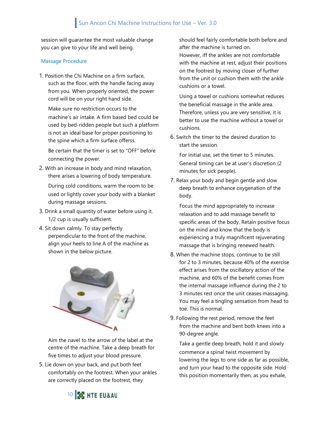session will guarantee the most valuable change you can give to your life and well being.

#### Massage Procedure

1. Position the Chi Machine on a firm surface, such as the floor, with the handle facing away from you. When properly oriented, the power cord will be on your right hand side.

Make sure no restriction occurs to the machine's air intake. A firm based bed could be used by bed-ridden people but such a platform is not an ideal base for proper positioning to the spine which a firm surface offerss.

Be certain that the timer is set to "OFF" before connecting the power.

2. With an increase in body and mind relaxation, there arises a lowering of body temperature. During cold conditions, warm the room to be

used or lightly cover your body with a blanket during massage sessions.

- 3. Drink a small quantity of water before using it. 1/2 cup is usually sufficient.
- 4. Sit down calmly. To stay perfectly perpendicular to the front of the machine, align your heels to line A of the machine as shown in the below picture.



Aim the navel to the arrow of the label at the centre of the machine. Take a deep breath for five times to adjust your blood pressure.

5. Lie down on your back, and put both feet comfortably on the footrest. When your ankles are correctly placed on the footrest, they

should feel fairly comfortable both before and after the machine is turned on. However, iff the ankles are not comfortable with the machine at rest, adjust their positions on the footrest by moving closer of further from the unit or cushion them with the ankle cushions or a towel.

Using a towel or cushions somewhat reduces the beneficial massage in the ankle area. Therefore, unless you are very sensitive, it is better to use the machine without a towel or cushions.

6. Switch the timer to the desired duration to start the session.

For initial use, set the timer to 5 minutes. General timing can be at user's discretion (2 minutes for sick people).

7. Relax your body and begin gentle and slow deep breath to enhance oxygenation of the body.

Focus the mind appropriately to increase relaxation and to add massage benefit to specific areas of the body. Retain positive focus on the mind and know that the body is experiencing a truly magnificent rejuvenating massage that is bringing renewed health.

- 8. When the machine stops, continue to be still for 2 to 3 minutes, because 40% of the exercise effect arises from the oscillatory action of the machine, and 60% of the benefit comes from the internal massage influence during the 2 to 3 minutes rest once the unit ceases massaging. You may feel a tingling sensation from head to toe. This is normal.
- 9. Following the rest period, remove the feet from the machine and bent both knees into a 90-degree angle.

Take a gentle deep breath, hold it and slowly commence a spinal twist movement by lowering the legs to one side as far as possible, and turn your head to the opposite side. Hold this position momentarily then, as you exhale,

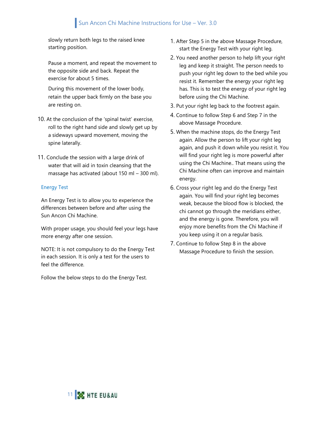### Sun Ancon Chi Machine Instructions for Use – Ver. 3.0

slowly return both legs to the raised knee starting position.

Pause a moment, and repeat the movement to the opposite side and back. Repeat the exercise for about 5 times.

During this movement of the lower body, retain the upper back firmly on the base you are resting on.

- 10. At the conclusion of the 'spinal twist' exercise, roll to the right hand side and slowly get up by a sideways upward movement, moving the spine laterally.
- 11. Conclude the session with a large drink of water that will aid in toxin cleansing that the massage has activated (about 150 ml – 300 ml).

#### Energy Test

An Energy Test is to allow you to experience the differences between before and after using the Sun Ancon Chi Machine.

With proper usage, you should feel your legs have more energy after one session.

NOTE: It is not compulsory to do the Energy Test in each session. It is only a test for the users to feel the difference.

Follow the below steps to do the Energy Test.

- 1. After Step 5 in the above Massage Procedure, start the Energy Test with your right leg.
- 2. You need another person to help lift your right leg and keep it straight. The person needs to push your right leg down to the bed while you resist it. Remember the energy your right leg has. This is to test the energy of your right leg before using the Chi Machine.
- 3. Put your right leg back to the footrest again.
- 4. Continue to follow Step 6 and Step 7 in the above Massage Procedure.
- 5. When the machine stops, do the Energy Test again. Allow the person to lift your right leg again, and push it down while you resist it. You will find your right leg is more powerful after using the Chi Machine.. That means using the Chi Machine often can improve and maintain energy.
- 6. Cross your right leg and do the Energy Test again. You will find your right leg becomes weak, because the blood flow is blocked, the chi cannot go through the meridians either, and the energy is gone. Therefore, you will enjoy more benefits from the Chi Machine if you keep using it on a regular basis.
- 7. Continue to follow Step 8 in the above Massage Procedure to finish the session.

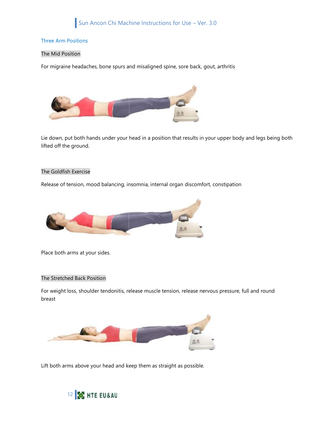#### Three Arm Positions

#### The Mid Position

For migraine headaches, bone spurs and misaligned spine, sore back, gout, arthritis



Lie down, put both hands under your head in a position that results in your upper body and legs being both lifted off the ground.

#### The Goldfish Exercise

Release of tension, mood balancing, insomnia, internal organ discomfort, constipation



Place both arms at your sides.

#### The Stretched Back Position

For weight loss, shoulder tendonitis, release muscle tension, release nervous pressure, full and round breast



Lift both arms above your head and keep them as straight as possible.

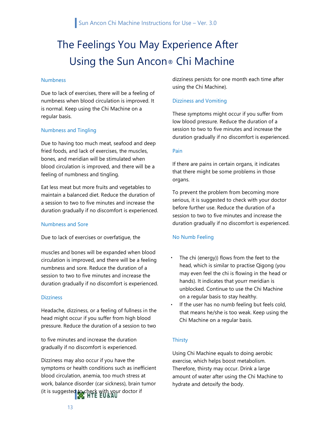## The Feelings You May Experience After Using the Sun Ancon® Chi Machine

#### Numbness

Due to lack of exercises, there will be a feeling of numbness when blood circulation is improved. It is normal. Keep using the Chi Machine on a regular basis.

#### Numbness and Tingling

Due to having too much meat, seafood and deep fried foods, and lack of exercises, the muscles, bones, and meridian will be stimulated when blood circulation is improved, and there will be a feeling of numbness and tingling.

Eat less meat but more fruits and vegetables to maintain a balanced diet. Reduce the duration of a session to two to five minutes and increase the duration gradually if no discomfort is experienced.

#### Numbness and Sore

Due to lack of exercises or overfatigue, the

muscles and bones will be expanded when blood circulation is improved, and there will be a feeling numbness and sore. Reduce the duration of a session to two to five minutes and increase the duration gradually if no discomfort is experienced.

#### Dizziness

Headache, dizziness, or a feeling of fullness in the head might occur if you suffer from high blood pressure. Reduce the duration of a session to two

to five minutes and increase the duration gradually if no discomfort is experienced.

Dizziness may also occur if you have the symptoms or health conditions such as inefficient blood circulation, anemia, too much stress at work, balance disorder (car sickness), brain tumor (it is suggested to check with your doctor if

dizziness persists for one month each time after using the Chi Machine).

#### Dizziness and Vomiting

These symptoms might occur if you suffer from low blood pressure. Reduce the duration of a session to two to five minutes and increase the duration gradually if no discomfort is experienced.

#### Pain

If there are pains in certain organs, it indicates that there might be some problems in those organs.

To prevent the problem from becoming more serious, it is suggested to check with your doctor before further use. Reduce the duration of a session to two to five minutes and increase the duration gradually if no discomfort is experienced.

#### No Numb Feeling

- The chi (energy)) flows from the feet to the head, which is similar to practise Qigong (you may even feel the chi is flowing in the head or hands). It indicates that yourr meridian is unblocked. Continue to use the Chi Machine on a regular basis to stay healthy.
- If the user has no numb feeling but feels cold, that means he/she is too weak. Keep using the Chi Machine on a regular basis.

#### **Thirsty**

Using Chi Machine equals to doing aerobic exercise, which helps boost metabolism. Therefore, thirsty may occur. Drink a large amount of water after using the Chi Machine to hydrate and detoxify the body.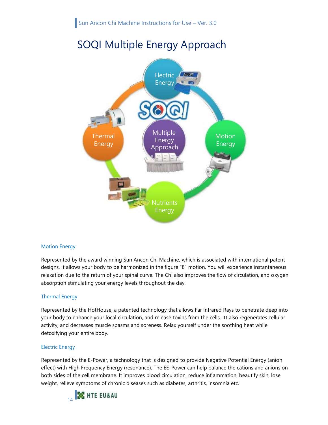### SOQI Multiple Energy Approach



#### Motion Energy

Represented by the award winning Sun Ancon Chi Machine, which is associated with international patent designs. It allows your body to be harmonized in the figure "8" motion. You will experience instantaneous relaxation due to the return of your spinal curve. The Chi also improves the flow of circulation, and oxygen absorption stimulating your energy levels throughout the day.

#### Thermal Energy

Represented by the HotHouse, a patented technology that allows Far Infrared Rays to penetrate deep into your body to enhance your local circulation, and release toxins from the cells. Itt also regenerates cellular activity, and decreases muscle spasms and soreness. Relax yourself under the soothing heat while detoxifying your entire body.

#### Electric Energy

Represented by the E-Power, a technology that is designed to provide Negative Potential Energy (anion effect) with High Frequency Energy (resonance). The EE-Power can help balance the cations and anions on both sides of the cell membrane. It improves blood circulation, reduce inflammation, beautify skin, lose weight, relieve symptoms of chronic diseases such as diabetes, arthritis, insomnia etc.

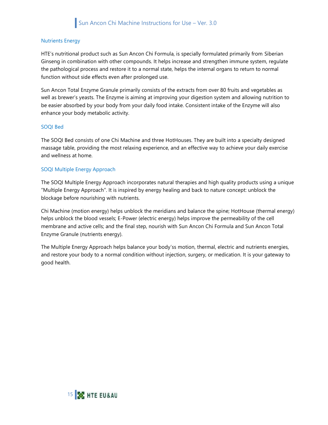#### Nutrients Energy

HTE's nutritional product such as Sun Ancon Chi Formula, is specially formulated primarily from Siberian Ginseng in combination with other compounds. It helps increase and strengthen immune system, regulate the pathological process and restore it to a normal state, helps the internal organs to return to normal function without side effects even after prolonged use.

Sun Ancon Total Enzyme Granule primarily consists of the extracts from over 80 fruits and vegetables as well as brewer's yeasts. The Enzyme is aiming at improving your digestion system and allowing nutrition to be easier absorbed by your body from your daily food intake. Consistent intake of the Enzyme will also enhance your body metabolic activity.

#### SOQI Bed

The SOQI Bed consists of one Chi Machine and three HotHouses. They are built into a specialty designed massage table, providing the most relaxing experience, and an effective way to achieve your daily exercise and wellness at home.

#### SOQI Multiple Energy Approach

The SOQI Multiple Energy Approach incorporates natural therapies and high quality products using a unique "Multiple Energy Approach". It is inspired by energy healing and back to nature concept: unblock the blockage before nourishing with nutrients.

Chi Machine (motion energy) helps unblock the meridians and balance the spine; HotHouse (thermal energy) helps unblock the blood vessels; E-Power (electric energy) helps improve the permeability of the cell membrane and active cells; and the final step, nourish with Sun Ancon Chi Formula and Sun Ancon Total Enzyme Granule (nutrients energy).

The Multiple Energy Approach helps balance your body'ss motion, thermal, electric and nutrients energies, and restore your body to a normal condition without injection, surgery, or medication. It is your gateway to good health.